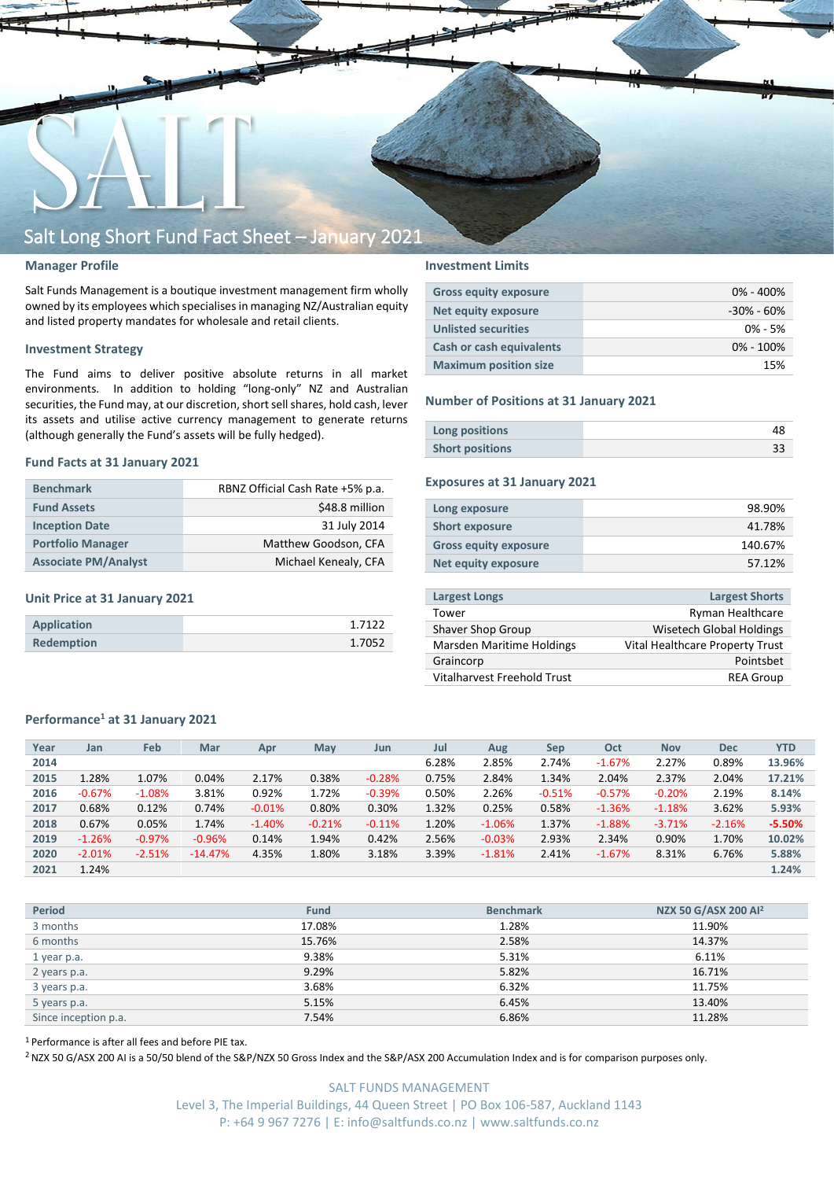

## **Manager Profile**

Salt Funds Management is a boutique investment management firm wholly owned by its employees which specialisesin managing NZ/Australian equity and listed property mandates for wholesale and retail clients.

### **Investment Strategy**

The Fund aims to deliver positive absolute returns in all market environments. In addition to holding "long-only" NZ and Australian securities, the Fund may, at our discretion, short sell shares, hold cash, lever its assets and utilise active currency management to generate returns (although generally the Fund's assets will be fully hedged).

### **Fund Facts at 31 January 2021**

| <b>Benchmark</b>            | RBNZ Official Cash Rate +5% p.a. |
|-----------------------------|----------------------------------|
| <b>Fund Assets</b>          | \$48.8 million                   |
| <b>Inception Date</b>       | 31 July 2014                     |
| <b>Portfolio Manager</b>    | Matthew Goodson, CFA             |
| <b>Associate PM/Analyst</b> | Michael Kenealy, CFA             |

### **Unit Price at 31 January 2021**

| <b>Application</b> | 1 71 22 |
|--------------------|---------|
| <b>Redemption</b>  | 1.7052  |

# **Investment Limits**

| <b>Gross equity exposure</b> | $0\% - 400\%$  |
|------------------------------|----------------|
| <b>Net equity exposure</b>   | $-30\% - 60\%$ |
| <b>Unlisted securities</b>   | $0\% - 5\%$    |
| Cash or cash equivalents     | $0\% - 100\%$  |
| <b>Maximum position size</b> | 15%            |

#### **Number of Positions at 31 January 2021**

| Long positions         |  |
|------------------------|--|
| <b>Short positions</b> |  |

# **Exposures at 31 January 2021**

| Long exposure                | 98.90%  |
|------------------------------|---------|
| <b>Short exposure</b>        | 41.78%  |
| <b>Gross equity exposure</b> | 140.67% |
| Net equity exposure          | 57.12%  |
|                              |         |

| <b>Largest Longs</b>             | <b>Largest Shorts</b>           |
|----------------------------------|---------------------------------|
| Tower                            | Ryman Healthcare                |
| Shaver Shop Group                | Wisetech Global Holdings        |
| <b>Marsden Maritime Holdings</b> | Vital Healthcare Property Trust |
| Graincorp                        | Pointsbet                       |
| Vitalharvest Freehold Trust      | <b>REA Group</b>                |
|                                  |                                 |

### **Performance<sup>1</sup> at 31 January 2021**

| Year | Jan      | Feb      | Mar       | Apr      | May      | Jun      | Jul   | Aug      | <b>Sep</b> | Oct      | <b>Nov</b> | <b>Dec</b> | <b>YTD</b> |
|------|----------|----------|-----------|----------|----------|----------|-------|----------|------------|----------|------------|------------|------------|
| 2014 |          |          |           |          |          |          | 6.28% | 2.85%    | 2.74%      | $-1.67%$ | 2.27%      | 0.89%      | 13.96%     |
| 2015 | 1.28%    | 1.07%    | 0.04%     | 2.17%    | 0.38%    | $-0.28%$ | 0.75% | 2.84%    | 1.34%      | 2.04%    | 2.37%      | 2.04%      | 17.21%     |
| 2016 | $-0.67%$ | $-1.08%$ | 3.81%     | 0.92%    | 1.72%    | $-0.39%$ | 0.50% | 2.26%    | $-0.51%$   | $-0.57%$ | $-0.20%$   | 2.19%      | 8.14%      |
| 2017 | 0.68%    | 0.12%    | 0.74%     | $-0.01%$ | 0.80%    | 0.30%    | 1.32% | 0.25%    | 0.58%      | $-1.36%$ | $-1.18%$   | 3.62%      | 5.93%      |
| 2018 | 0.67%    | 0.05%    | 1.74%     | $-1.40%$ | $-0.21%$ | $-0.11%$ | 1.20% | $-1.06%$ | 1.37%      | $-1.88%$ | $-3.71%$   | $-2.16%$   | $-5.50%$   |
| 2019 | $-1.26%$ | $-0.97%$ | $-0.96%$  | 0.14%    | 1.94%    | 0.42%    | 2.56% | $-0.03%$ | 2.93%      | 2.34%    | 0.90%      | 1.70%      | 10.02%     |
| 2020 | $-2.01%$ | $-2.51%$ | $-14.47%$ | 4.35%    | 1.80%    | 3.18%    | 3.39% | $-1.81%$ | 2.41%      | $-1.67%$ | 8.31%      | 6.76%      | 5.88%      |
| 2021 | 1.24%    |          |           |          |          |          |       |          |            |          |            |            | 1.24%      |

| <b>Period</b>        | <b>Fund</b> | <b>Benchmark</b> | NZX 50 G/ASX 200 Al <sup>2</sup> |
|----------------------|-------------|------------------|----------------------------------|
| 3 months             | 17.08%      | 1.28%            | 11.90%                           |
| 6 months             | 15.76%      | 2.58%            | 14.37%                           |
| 1 year p.a.          | 9.38%       | 5.31%            | 6.11%                            |
| 2 years p.a.         | 9.29%       | 5.82%            | 16.71%                           |
| 3 years p.a.         | 3.68%       | 6.32%            | 11.75%                           |
| 5 years p.a.         | 5.15%       | 6.45%            | 13.40%                           |
| Since inception p.a. | 7.54%       | 6.86%            | 11.28%                           |

<sup>1</sup> Performance is after all fees and before PIE tax.

<sup>2</sup> NZX 50 G/ASX 200 AI is a 50/50 blend of the S&P/NZX 50 Gross Index and the S&P/ASX 200 Accumulation Index and is for comparison purposes only.

SALT FUNDS MANAGEMENT Level 3, The Imperial Buildings, 44 Queen Street | PO Box 106-587, Auckland 1143 P: +64 9 967 7276 | E: info@saltfunds.co.nz | www.saltfunds.co.nz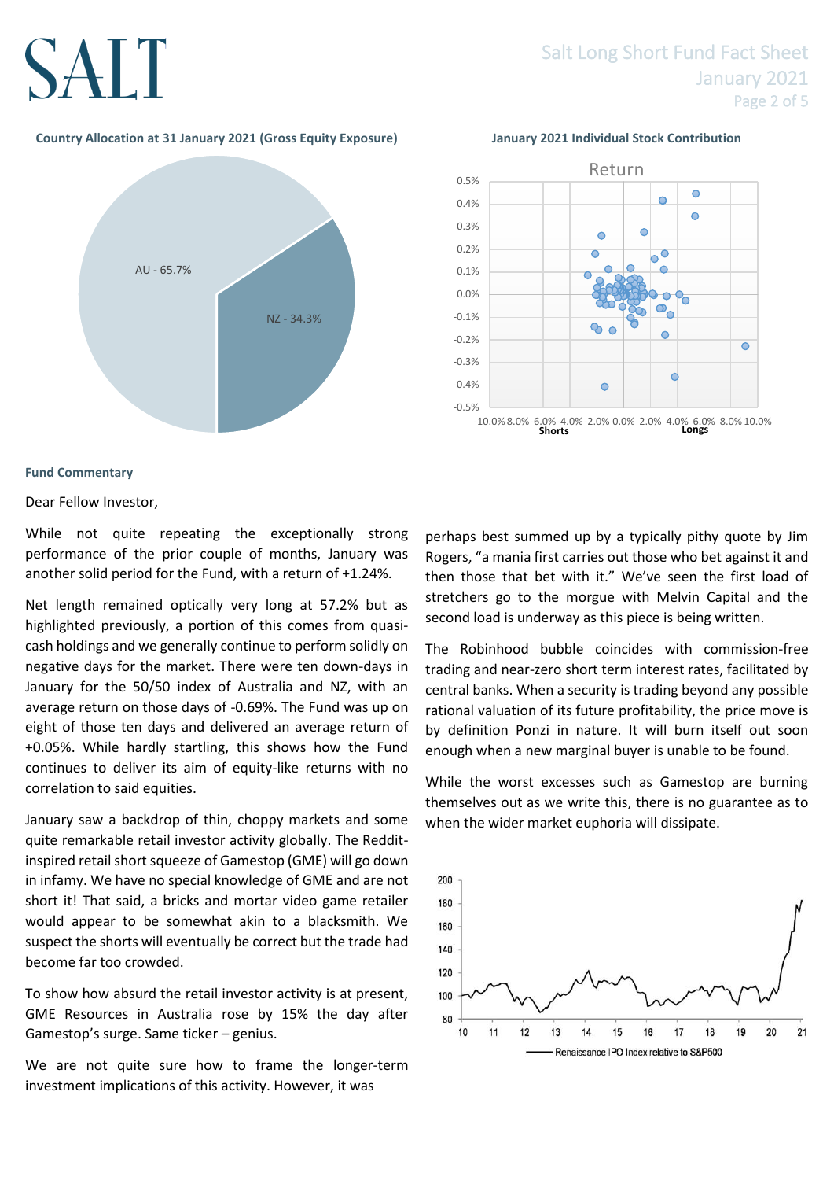# **SALT**

# Salt Long Short Fund Fact Sheet January 2021 Page 2 of 5

# **Country Allocation at 31 January 2021 (Gross Equity Exposure) January 2021 Individual Stock Contribution**





# **Fund Commentary**

Dear Fellow Investor,

While not quite repeating the exceptionally strong performance of the prior couple of months, January was another solid period for the Fund, with a return of +1.24%.

Net length remained optically very long at 57.2% but as highlighted previously, a portion of this comes from quasicash holdings and we generally continue to perform solidly on negative days for the market. There were ten down-days in January for the 50/50 index of Australia and NZ, with an average return on those days of -0.69%. The Fund was up on eight of those ten days and delivered an average return of +0.05%. While hardly startling, this shows how the Fund continues to deliver its aim of equity-like returns with no correlation to said equities.

January saw a backdrop of thin, choppy markets and some quite remarkable retail investor activity globally. The Redditinspired retail short squeeze of Gamestop (GME) will go down in infamy. We have no special knowledge of GME and are not short it! That said, a bricks and mortar video game retailer would appear to be somewhat akin to a blacksmith. We suspect the shorts will eventually be correct but the trade had become far too crowded.

To show how absurd the retail investor activity is at present, GME Resources in Australia rose by 15% the day after Gamestop's surge. Same ticker – genius.

We are not quite sure how to frame the longer-term investment implications of this activity. However, it was

perhaps best summed up by a typically pithy quote by Jim Rogers, "a mania first carries out those who bet against it and then those that bet with it." We've seen the first load of stretchers go to the morgue with Melvin Capital and the second load is underway as this piece is being written.

The Robinhood bubble coincides with commission-free trading and near-zero short term interest rates, facilitated by central banks. When a security is trading beyond any possible rational valuation of its future profitability, the price move is by definition Ponzi in nature. It will burn itself out soon enough when a new marginal buyer is unable to be found.

While the worst excesses such as Gamestop are burning themselves out as we write this, there is no guarantee as to when the wider market euphoria will dissipate.

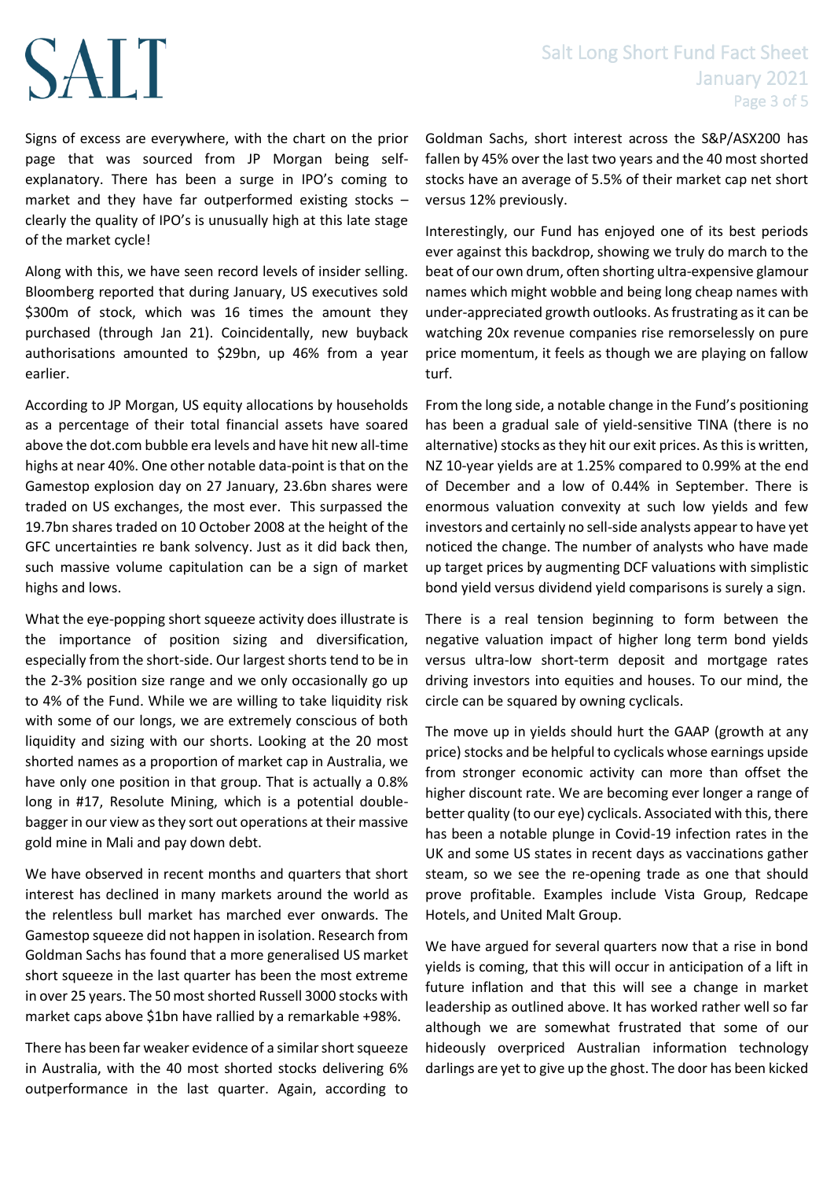# SALT

Signs of excess are everywhere, with the chart on the prior page that was sourced from JP Morgan being selfexplanatory. There has been a surge in IPO's coming to market and they have far outperformed existing stocks – clearly the quality of IPO's is unusually high at this late stage of the market cycle!

Along with this, we have seen record levels of insider selling. Bloomberg reported that during January, US executives sold \$300m of stock, which was 16 times the amount they purchased (through Jan 21). Coincidentally, new buyback authorisations amounted to \$29bn, up 46% from a year earlier.

According to JP Morgan, US equity allocations by households as a percentage of their total financial assets have soared above the dot.com bubble era levels and have hit new all-time highs at near 40%. One other notable data-point is that on the Gamestop explosion day on 27 January, 23.6bn shares were traded on US exchanges, the most ever. This surpassed the 19.7bn shares traded on 10 October 2008 at the height of the GFC uncertainties re bank solvency. Just as it did back then, such massive volume capitulation can be a sign of market highs and lows.

What the eye-popping short squeeze activity does illustrate is the importance of position sizing and diversification, especially from the short-side. Our largest shorts tend to be in the 2-3% position size range and we only occasionally go up to 4% of the Fund. While we are willing to take liquidity risk with some of our longs, we are extremely conscious of both liquidity and sizing with our shorts. Looking at the 20 most shorted names as a proportion of market cap in Australia, we have only one position in that group. That is actually a 0.8% long in #17, Resolute Mining, which is a potential doublebagger in our view as they sort out operations at their massive gold mine in Mali and pay down debt.

We have observed in recent months and quarters that short interest has declined in many markets around the world as the relentless bull market has marched ever onwards. The Gamestop squeeze did not happen in isolation. Research from Goldman Sachs has found that a more generalised US market short squeeze in the last quarter has been the most extreme in over 25 years. The 50 most shorted Russell 3000 stocks with market caps above \$1bn have rallied by a remarkable +98%.

There has been far weaker evidence of a similar short squeeze in Australia, with the 40 most shorted stocks delivering 6% outperformance in the last quarter. Again, according to

Goldman Sachs, short interest across the S&P/ASX200 has fallen by 45% over the last two years and the 40 most shorted stocks have an average of 5.5% of their market cap net short versus 12% previously.

Interestingly, our Fund has enjoyed one of its best periods ever against this backdrop, showing we truly do march to the beat of our own drum, often shorting ultra-expensive glamour names which might wobble and being long cheap names with under-appreciated growth outlooks. As frustrating as it can be watching 20x revenue companies rise remorselessly on pure price momentum, it feels as though we are playing on fallow turf.

From the long side, a notable change in the Fund's positioning has been a gradual sale of yield-sensitive TINA (there is no alternative) stocks as they hit our exit prices. As this is written, NZ 10-year yields are at 1.25% compared to 0.99% at the end of December and a low of 0.44% in September. There is enormous valuation convexity at such low yields and few investors and certainly no sell-side analysts appear to have yet noticed the change. The number of analysts who have made up target prices by augmenting DCF valuations with simplistic bond yield versus dividend yield comparisons is surely a sign.

There is a real tension beginning to form between the negative valuation impact of higher long term bond yields versus ultra-low short-term deposit and mortgage rates driving investors into equities and houses. To our mind, the circle can be squared by owning cyclicals.

The move up in yields should hurt the GAAP (growth at any price) stocks and be helpful to cyclicals whose earnings upside from stronger economic activity can more than offset the higher discount rate. We are becoming ever longer a range of better quality (to our eye) cyclicals. Associated with this, there has been a notable plunge in Covid-19 infection rates in the UK and some US states in recent days as vaccinations gather steam, so we see the re-opening trade as one that should prove profitable. Examples include Vista Group, Redcape Hotels, and United Malt Group.

We have argued for several quarters now that a rise in bond yields is coming, that this will occur in anticipation of a lift in future inflation and that this will see a change in market leadership as outlined above. It has worked rather well so far although we are somewhat frustrated that some of our hideously overpriced Australian information technology darlings are yet to give up the ghost. The door has been kicked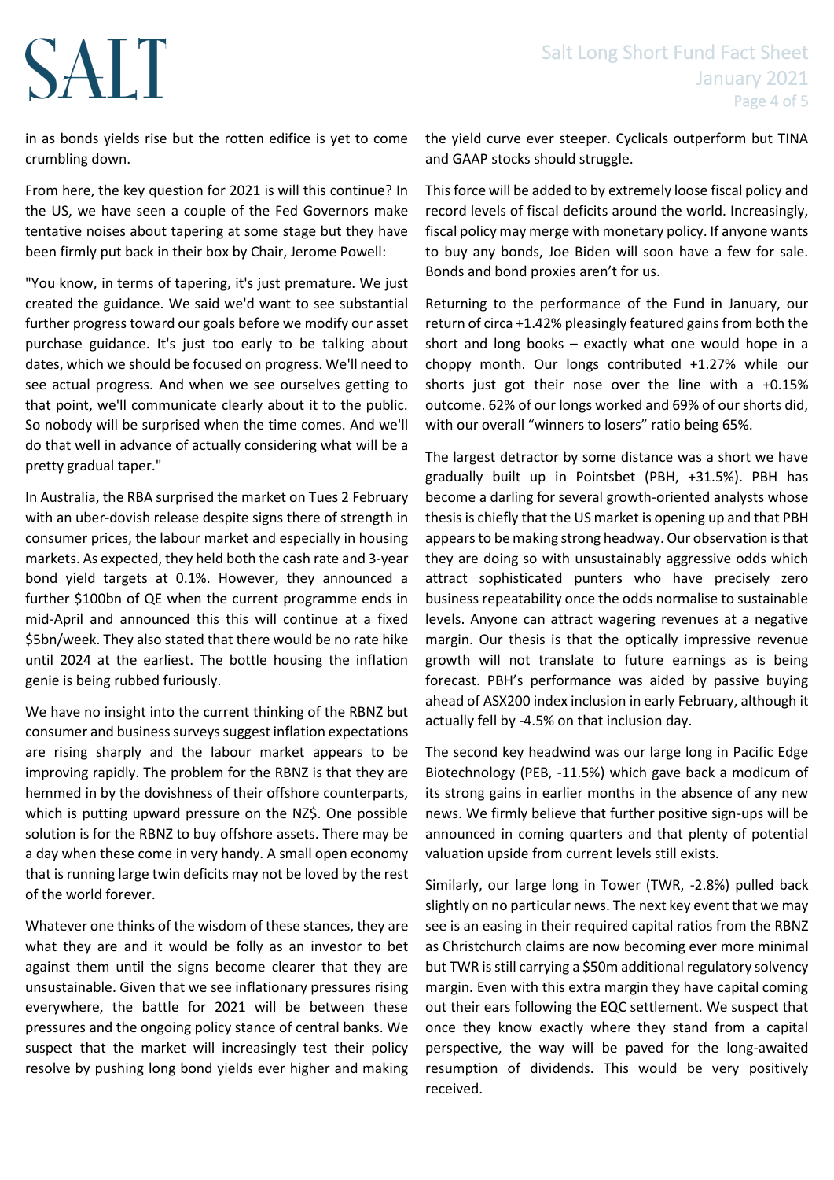# Salt Long Short Fund Fact Sheet January 2021 Page 4 of 5

# SALT

in as bonds yields rise but the rotten edifice is yet to come crumbling down.

From here, the key question for 2021 is will this continue? In the US, we have seen a couple of the Fed Governors make tentative noises about tapering at some stage but they have been firmly put back in their box by Chair, Jerome Powell:

"You know, in terms of tapering, it's just premature. We just created the guidance. We said we'd want to see substantial further progress toward our goals before we modify our asset purchase guidance. It's just too early to be talking about dates, which we should be focused on progress. We'll need to see actual progress. And when we see ourselves getting to that point, we'll communicate clearly about it to the public. So nobody will be surprised when the time comes. And we'll do that well in advance of actually considering what will be a pretty gradual taper."

In Australia, the RBA surprised the market on Tues 2 February with an uber-dovish release despite signs there of strength in consumer prices, the labour market and especially in housing markets. As expected, they held both the cash rate and 3-year bond yield targets at 0.1%. However, they announced a further \$100bn of QE when the current programme ends in mid-April and announced this this will continue at a fixed \$5bn/week. They also stated that there would be no rate hike until 2024 at the earliest. The bottle housing the inflation genie is being rubbed furiously.

We have no insight into the current thinking of the RBNZ but consumer and business surveys suggest inflation expectations are rising sharply and the labour market appears to be improving rapidly. The problem for the RBNZ is that they are hemmed in by the dovishness of their offshore counterparts, which is putting upward pressure on the NZ\$. One possible solution is for the RBNZ to buy offshore assets. There may be a day when these come in very handy. A small open economy that is running large twin deficits may not be loved by the rest of the world forever.

Whatever one thinks of the wisdom of these stances, they are what they are and it would be folly as an investor to bet against them until the signs become clearer that they are unsustainable. Given that we see inflationary pressures rising everywhere, the battle for 2021 will be between these pressures and the ongoing policy stance of central banks. We suspect that the market will increasingly test their policy resolve by pushing long bond yields ever higher and making the yield curve ever steeper. Cyclicals outperform but TINA and GAAP stocks should struggle.

This force will be added to by extremely loose fiscal policy and record levels of fiscal deficits around the world. Increasingly, fiscal policy may merge with monetary policy. If anyone wants to buy any bonds, Joe Biden will soon have a few for sale. Bonds and bond proxies aren't for us.

Returning to the performance of the Fund in January, our return of circa +1.42% pleasingly featured gains from both the short and long books – exactly what one would hope in a choppy month. Our longs contributed +1.27% while our shorts just got their nose over the line with a +0.15% outcome. 62% of our longs worked and 69% of our shorts did, with our overall "winners to losers" ratio being 65%.

The largest detractor by some distance was a short we have gradually built up in Pointsbet (PBH, +31.5%). PBH has become a darling for several growth-oriented analysts whose thesis is chiefly that the US market is opening up and that PBH appears to be making strong headway. Our observation is that they are doing so with unsustainably aggressive odds which attract sophisticated punters who have precisely zero business repeatability once the odds normalise to sustainable levels. Anyone can attract wagering revenues at a negative margin. Our thesis is that the optically impressive revenue growth will not translate to future earnings as is being forecast. PBH's performance was aided by passive buying ahead of ASX200 index inclusion in early February, although it actually fell by -4.5% on that inclusion day.

The second key headwind was our large long in Pacific Edge Biotechnology (PEB, -11.5%) which gave back a modicum of its strong gains in earlier months in the absence of any new news. We firmly believe that further positive sign-ups will be announced in coming quarters and that plenty of potential valuation upside from current levels still exists.

Similarly, our large long in Tower (TWR, -2.8%) pulled back slightly on no particular news. The next key event that we may see is an easing in their required capital ratios from the RBNZ as Christchurch claims are now becoming ever more minimal but TWR is still carrying a \$50m additional regulatory solvency margin. Even with this extra margin they have capital coming out their ears following the EQC settlement. We suspect that once they know exactly where they stand from a capital perspective, the way will be paved for the long-awaited resumption of dividends. This would be very positively received.